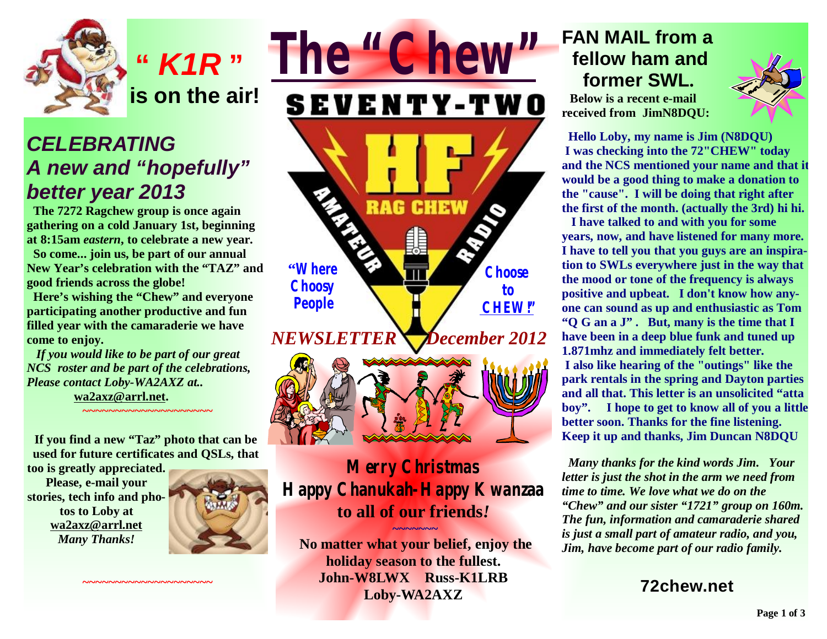

**is on the air!** 

## *CELEBRATING A new and "hopefully" better year 2013*

 **The 7272 Ragchew group is once again gathering on a cold January 1st, beginning at 8:15am** *eastern***, to celebrate a new year. So come... join us, be part of our annual New Year's celebration with the "TAZ" and good friends across the globe!**

 **Here's wishing the "Chew" and everyone participating another productive and fun filled year with the camaraderie we have come to enjoy.** 

*If you would like to be part of our great NCS roster and be part of the celebrations, Please contact Loby-WA2AXZ at..* **[wa2axz@arrl.net.](mailto:wa2axz@arrl.net)** 

**If you find a new "Taz" photo that can be used for future certificates and QSLs, that** 

**~~~~~~~~~~~~~~~~~~~~** 

**~~~~~~~~~~~~~~~~~~~~** 

**too is greatly appreciated. Please, e-mail your stories, tech info and photos to Loby at [wa2axz@arrl.net](mailto:wa2axz@arrl.net)**  *Many Thanks!* 



*The "Chew"* **SEVENTY-TWO RAG CHEW "Where Choose Choosy to People CHEW!"** *NEWSLETTER*  *December 2012*



**Merry Christmas Happy Chanukah-Happy Kwanzaa to all of our friends***!*

**No matter what your belief, enjoy the holiday season to the fullest. John-W8LWX Russ-K1LRB Loby-WA2AXZ**

**~~~~~~~**

#### **FAN MAIL from a fellow ham and former SWL. Below is a recent e-mail**

**received from JimN8DQU:** 



 **Hello Loby, my name is Jim (N8DQU) I was checking into the 72"CHEW" today and the NCS mentioned your name and that it would be a good thing to make a donation to the "cause". I will be doing that right after the first of the month. (actually the 3rd) hi hi.**

**I have talked to and with you for some years, now, and have listened for many more. I have to tell you that you guys are an inspiration to SWLs everywhere just in the way that the mood or tone of the frequency is always positive and upbeat. I don't know how anyone can sound as up and enthusiastic as Tom "Q G an a J" . But, many is the time that I have been in a deep blue funk and tuned up 1.871mhz and immediately felt better. I also like hearing of the "outings" like the park rentals in the spring and Dayton parties and all that. This letter is an unsolicited "atta boy". I hope to get to know all of you a little better soon. Thanks for the fine listening. Keep it up and thanks, Jim Duncan N8DQU** 

 *Many thanks for the kind words Jim. Your letter is just the shot in the arm we need from time to time. We love what we do on the "Chew" and our sister "1721" group on 160m. The fun, information and camaraderie shared is just a small part of amateur radio, and you, Jim, have become part of our radio family.*

**72chew.net**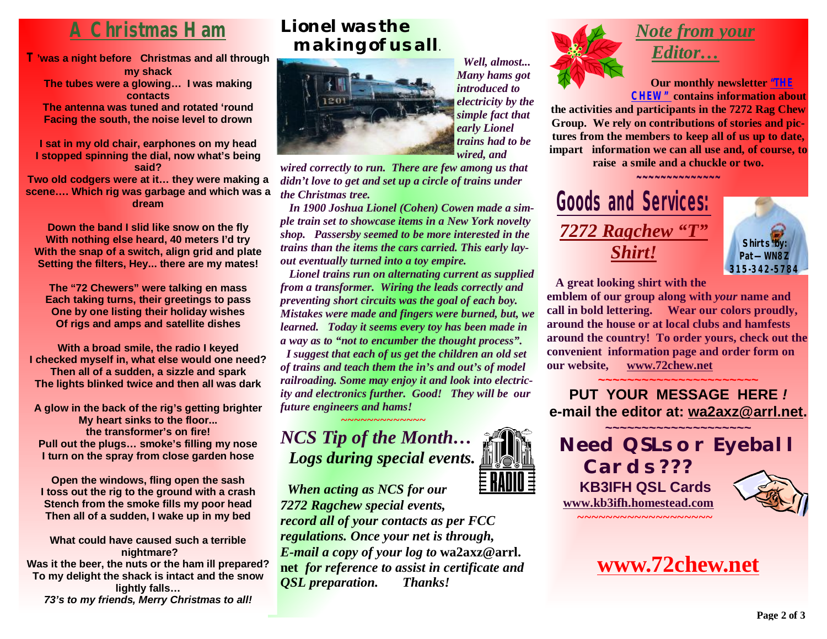## *A Christmas Ham*

**T'was a night before Christmas and all through my shack The tubes were a glowing… I was making contacts The antenna was tuned and rotated 'round Facing the south, the noise level to drown** 

**I sat in my old chair, earphones on my head I stopped spinning the dial, now what's being said? Two old codgers were at it… they were making a scene…. Which rig was garbage and which was a dream** 

**Down the band I slid like snow on the fly With nothing else heard, 40 meters I'd try With the snap of a switch, align grid and plate Setting the filters, Hey... there are my mates!** 

**The "72 Chewers" were talking en mass Each taking turns, their greetings to pass One by one listing their holiday wishes Of rigs and amps and satellite dishes** 

**With a broad smile, the radio I keyed I checked myself in, what else would one need? Then all of a sudden, a sizzle and spark The lights blinked twice and then all was dark** 

**A glow in the back of the rig's getting brighter My heart sinks to the floor... the transformer's on fire! Pull out the plugs… smoke's filling my nose I turn on the spray from close garden hose** 

**Open the windows, fling open the sash I toss out the rig to the ground with a crash Stench from the smoke fills my poor head Then all of a sudden, I wake up in my bed** 

**What could have caused such a terrible nightmare? Was it the beer, the nuts or the ham ill prepared? To my delight the shack is intact and the snow lightly falls…**  *73's to my friends, Merry Christmas to all!*

#### **Lionel was the making of us all***.*



 *Well, almost... Many hams got introduced to electricity by the simple fact that early Lionel trains had to be wired, and* 

*wired correctly to run. There are few among us that didn't love to get and set up a circle of trains under the Christmas tree.* 

*In 1900 Joshua Lionel (Cohen) Cowen made a simple train set to showcase items in a New York novelty shop. Passersby seemed to be more interested in the trains than the items the cars carried. This early layout eventually turned into a toy empire.* 

*Lionel trains run on alternating current as supplied from a transformer. Wiring the leads correctly and preventing short circuits was the goal of each boy. Mistakes were made and fingers were burned, but, we learned. Today it seems every toy has been made in a way as to "not to encumber the thought process".* 

 *I suggest that each of us get the children an old set of trains and teach them the in's and out's of model railroading. Some may enjoy it and look into electricity and electronics further. Good! They will be our future engineers and hams!* 

#### *NCS Tip of the Month… Logs during special events.*

*<del>★</del>~~~~~~~~~~~~~* 

 *When acting as NCS for our 7272 Ragchew special events, record all of your contacts as per FCC regulations. Once your net is through, E-mail a copy of your log to* **wa2axz@arrl. net** *for reference to assist in certificate and QSL preparation. Thanks!* 



### *Note from your Editor…*

 **Our monthly newsletter** *"THE CHEW"* **contains information about** 

**the activities and participants in the 7272 Rag Chew Group. We rely on contributions of stories and pictures from the members to keep all of us up to date, impart information we can all use and, of course, to** 

**raise a smile and a chuckle or two.** 





 **A great looking shirt with the** 

**emblem of our group along with** *your* **name and call in bold lettering. Wear our colors proudly, around the house or at local clubs and hamfests around the country! To order yours, check out the convenient information page and order form on our website, [www.72chew.net](http://www.72chew.net)**

**~~~~~~~~~~~~~~~~~~~~~~ PUT YOUR MESSAGE HERE** *!*  **e-mail the editor at: [wa2axz@arrl.net](mailto:wa2axz@arrl.net).**



**[www.72chew.net](http://www.72chew.net)**